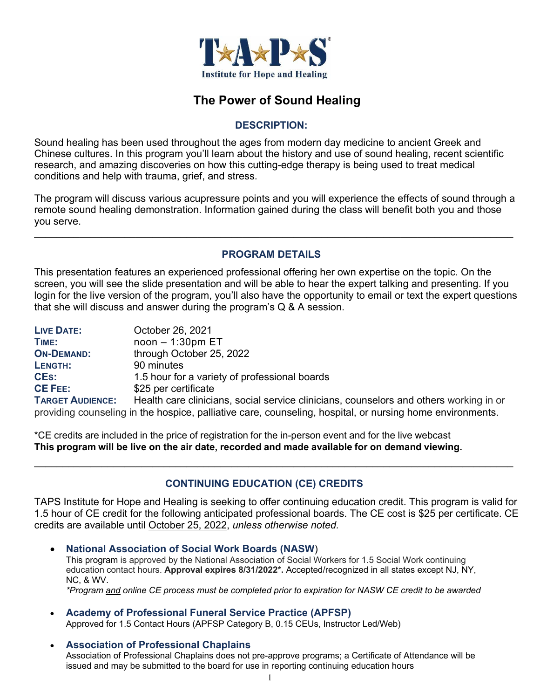

# **The Power of Sound Healing**

#### **DESCRIPTION:**

Sound healing has been used throughout the ages from modern day medicine to ancient Greek and Chinese cultures. In this program you'll learn about the history and use of sound healing, recent scientific research, and amazing discoveries on how this cutting-edge therapy is being used to treat medical conditions and help with trauma, grief, and stress.

The program will discuss various acupressure points and you will experience the effects of sound through a remote sound healing demonstration. Information gained during the class will benefit both you and those you serve.

#### **PROGRAM DETAILS**

 $\_$  , and the contribution of the contribution of the contribution of the contribution of the contribution of  $\mathcal{L}_\text{max}$ 

This presentation features an experienced professional offering her own expertise on the topic. On the screen, you will see the slide presentation and will be able to hear the expert talking and presenting. If you login for the live version of the program, you'll also have the opportunity to email or text the expert questions that she will discuss and answer during the program's Q & A session.

| <b>LIVE DATE:</b>                                                                                         | October 26, 2021                                                                       |
|-----------------------------------------------------------------------------------------------------------|----------------------------------------------------------------------------------------|
| TIME:                                                                                                     | $noon - 1:30pm ET$                                                                     |
| <b>ON-DEMAND:</b>                                                                                         | through October 25, 2022                                                               |
| LENGTH:                                                                                                   | 90 minutes                                                                             |
| <b>CES:</b>                                                                                               | 1.5 hour for a variety of professional boards                                          |
| <b>CE FEE:</b>                                                                                            | \$25 per certificate                                                                   |
| <b>TARGET AUDIENCE:</b>                                                                                   | Health care clinicians, social service clinicians, counselors and others working in or |
| providing counseling in the hospice, palliative care, counseling, hospital, or nursing home environments. |                                                                                        |

\*CE credits are included in the price of registration for the in-person event and for the live webcast **This program will be live on the air date, recorded and made available for on demand viewing.**

# **CONTINUING EDUCATION (CE) CREDITS**

 $\_$  , and the contribution of the contribution of the contribution of the contribution of  $\mathcal{L}_\mathcal{A}$ 

TAPS Institute for Hope and Healing is seeking to offer continuing education credit. This program is valid for 1.5 hour of CE credit for the following anticipated professional boards. The CE cost is \$25 per certificate. CE credits are available until October 25, 2022, *unless otherwise noted.*

- **National Association of Social Work Boards (NASW**) This program is approved by the National Association of Social Workers for 1.5 Social Work continuing education contact hours. **Approval expires 8/31/2022\*.** Accepted/recognized in all states except NJ, NY, NC, & WV. *\*Program and online CE process must be completed prior to expiration for NASW CE credit to be awarded*
- **Academy of Professional Funeral Service Practice (APFSP)** Approved for 1.5 Contact Hours (APFSP Category B, 0.15 CEUs, Instructor Led/Web)
- **Association of Professional Chaplains** Association of Professional Chaplains does not pre-approve programs; a Certificate of Attendance will be issued and may be submitted to the board for use in reporting continuing education hours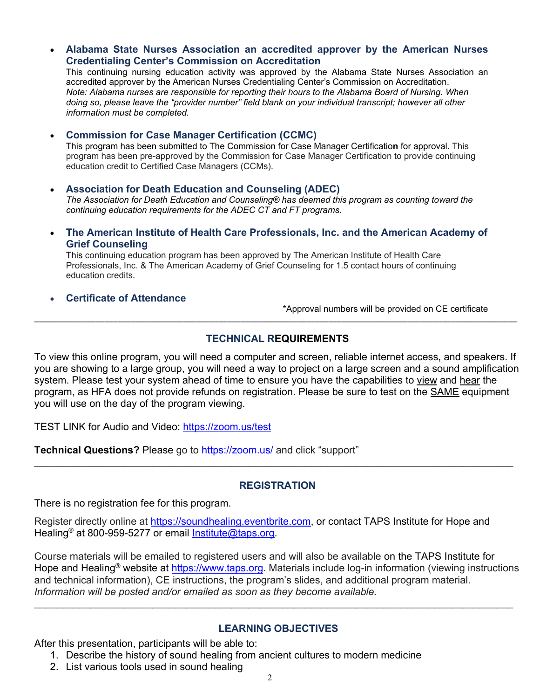**Alabama State Nurses Association an accredited approver by the American Nurses Credentialing Center's Commission on Accreditation**

This continuing nursing education activity was approved by the Alabama State Nurses Association an accredited approver by the American Nurses Credentialing Center's Commission on Accreditation. *Note: Alabama nurses are responsible for reporting their hours to the Alabama Board of Nursing. When doing so, please leave the "provider number" field blank on your individual transcript; however all other information must be completed.*

**Commission for Case Manager Certification (CCMC)**

This program has been submitted to The Commission for Case Manager Certificatio**n** for approval. This program has been pre-approved by the Commission for Case Manager Certification to provide continuing education credit to Certified Case Managers (CCMs).

**Association for Death Education and Counseling (ADEC)**

*The Association for Death Education and Counseling® has deemed this program as counting toward the continuing education requirements for the ADEC CT and FT programs.*

 **The American Institute of Health Care Professionals, Inc. and the American Academy of Grief Counseling**

This continuing education program has been approved by The American Institute of Health Care Professionals, Inc. & The American Academy of Grief Counseling for 1.5 contact hours of continuing education credits.

#### **Certificate of Attendance**

\*Approval numbers will be provided on CE certificate

#### **TECHNICAL REQUIREMENTS**

\_\_\_\_\_\_\_\_\_\_\_\_\_\_\_\_\_\_\_\_\_\_\_\_\_\_\_\_\_\_\_\_\_\_\_\_\_\_\_\_\_\_\_\_\_\_\_\_\_\_\_\_\_\_\_\_\_\_\_\_\_\_\_\_\_\_\_\_\_\_\_\_\_\_\_\_\_\_\_\_\_\_\_\_\_\_\_\_\_\_\_\_\_\_\_\_\_\_\_\_\_\_\_\_\_\_\_\_\_\_

To view this online program, you will need a computer and screen, reliable internet access, and speakers. If you are showing to a large group, you will need a way to project on a large screen and a sound amplification system. Please test your system ahead of time to ensure you have the capabilities to view and hear the program, as HFA does not provide refunds on registration. Please be sure to test on the **SAME** equipment you will use on the day of the program viewing.

TEST LINK for Audio and Video: https://zoom.us/test

**Technical Questions?** Please go to **https://zoom.us/** and click "support"

#### **REGISTRATION**

\_\_\_\_\_\_\_\_\_\_\_\_\_\_\_\_\_\_\_\_\_\_\_\_\_\_\_\_\_\_\_\_\_\_\_\_\_\_\_\_\_\_\_\_\_\_\_\_\_\_\_\_\_\_\_\_\_\_\_\_\_\_\_\_\_\_\_\_\_\_\_\_\_\_\_\_\_\_\_\_\_\_\_\_\_

There is no registration fee for this program.

Register directly online at https://soundhealing.eventbrite.com, or contact TAPS Institute for Hope and Healing<sup>®</sup> at 800-959-5277 or email Institute@taps.org.

Course materials will be emailed to registered users and will also be available on the TAPS Institute for Hope and Healing<sup>®</sup> website at https://www.taps.org. Materials include log-in information (viewing instructions and technical information), CE instructions, the program's slides, and additional program material. *Information will be posted and/or emailed as soon as they become available.*

 $\_$  , and the contribution of the contribution of the contribution of the contribution of the contribution of  $\mathcal{L}_\text{max}$ 

#### **LEARNING OBJECTIVES**

After this presentation, participants will be able to:

- 1. Describe the history of sound healing from ancient cultures to modern medicine
- 2. List various tools used in sound healing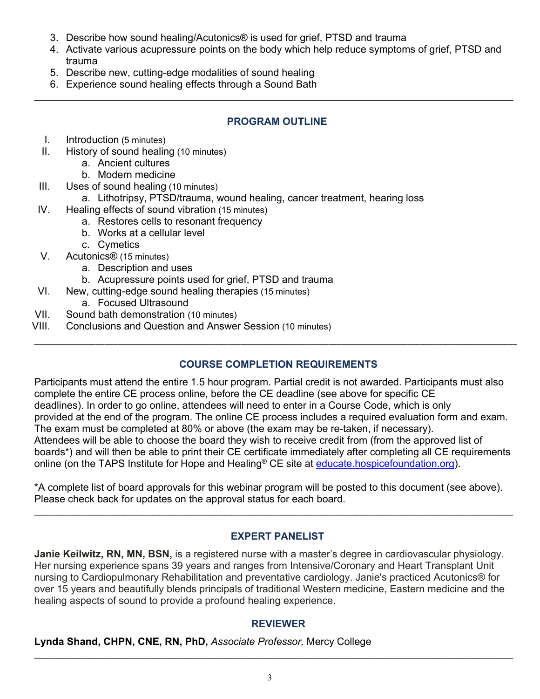- 3. Describe how sound healing/Acutonics® is used for grief, PTSD and trauma
- 4. Activate various acupressure points on the body which help reduce symptoms of grief, PTSD and trauma
- 5. Describe new, cutting-edge modalities of sound healing
- 6. Experience sound healing effects through a Sound Bath

#### **PROGRAM OUTLINE**

 $\_$  , and the contribution of the contribution of the contribution of the contribution of the contribution of  $\mathcal{L}_\text{max}$ 

- I. Introduction (5 minutes)
- II. History of sound healing (10 minutes)
	- a. Ancient cultures
	- b. Modern medicine
- III. Uses of sound healing (10 minutes)
	- a. Lithotripsy, PTSD/trauma, wound healing, cancer treatment, hearing loss
- IV. Healing effects of sound vibration (15 minutes)
	- a. Restores cells to resonant frequency
	- b. Works at a cellular level
	- c. Cymetics
- V. Acutonics® (15 minutes)
	- a. Description and uses
	- b. Acupressure points used for grief, PTSD and trauma
- VI. New, cutting-edge sound healing therapies (15 minutes)
	- a. Focused Ultrasound
- VII. Sound bath demonstration (10 minutes)
- VIII. Conclusions and Question and Answer Session (10 minutes)

#### **COURSE COMPLETION REQUIREMENTS**

\_\_\_\_\_\_\_\_\_\_\_\_\_\_\_\_\_\_\_\_\_\_\_\_\_\_\_\_\_\_\_\_\_\_\_\_\_\_\_\_\_\_\_\_\_\_\_\_\_\_\_\_\_\_\_\_\_\_\_\_\_\_\_\_\_\_\_\_\_\_\_\_\_\_\_\_\_\_\_\_\_\_\_\_\_\_\_\_\_\_\_\_\_\_\_\_\_\_\_\_\_\_\_\_\_\_\_\_\_\_

Participants must attend the entire 1.5 hour program. Partial credit is not awarded. Participants must also complete the entire CE process online, before the CE deadline (see above for specific CE deadlines). In order to go online, attendees will need to enter in a Course Code, which is only provided at the end of the program. The online CE process includes a required evaluation form and exam. The exam must be completed at 80% or above (the exam may be re-taken, if necessary). Attendees will be able to choose the board they wish to receive credit from (from the approved list of boards\*) and will then be able to print their CE certificate immediately after completing all CE requirements online (on the TAPS Institute for Hope and Healing<sup>®</sup> CE site at educate.hospicefoundation.org).

\*A complete list of board approvals for this webinar program will be posted to this document (see above). Please check back for updates on the approval status for each board.

 $\_$  , and the contribution of the contribution of the contribution of the contribution of the contribution of  $\mathcal{L}_\text{max}$ 

#### **EXPERT PANELIST**

**Janie Keilwitz, RN, MN, BSN,** is a registered nurse with a master's degree in cardiovascular physiology. Her nursing experience spans 39 years and ranges from Intensive/Coronary and Heart Transplant Unit nursing to Cardiopulmonary Rehabilitation and preventative cardiology. Janie's practiced Acutonics® for over 15 years and beautifully blends principals of traditional Western medicine, Eastern medicine and the healing aspects of sound to provide a profound healing experience.

#### **REVIEWER**

**Lynda Shand, CHPN, CNE, RN, PhD,** *Associate Professor,* Mercy College

\_\_\_\_\_\_\_\_\_\_\_\_\_\_\_\_\_\_\_\_\_\_\_\_\_\_\_\_\_\_\_\_\_\_\_\_\_\_\_\_\_\_\_\_\_\_\_\_\_\_\_\_\_\_\_\_\_\_\_\_\_\_\_\_\_\_\_\_\_\_\_\_\_\_\_\_\_\_\_\_\_\_\_\_\_